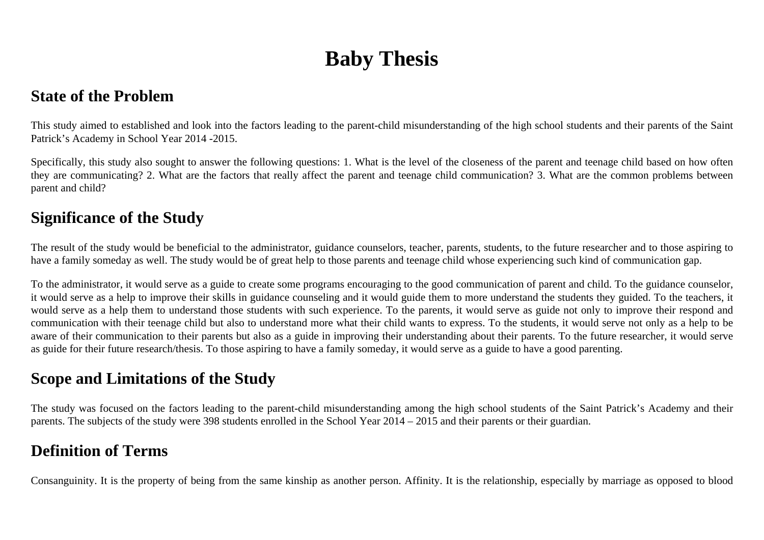# **Baby Thesis**

### **State of the Problem**

This study aimed to established and look into the factors leading to the parent-child misunderstanding of the high school students and their parents of the Saint Patrick's Academy in School Year 2014 -2015.

Specifically, this study also sought to answer the following questions: 1. What is the level of the closeness of the parent and teenage child based on how often they are communicating? 2. What are the factors that really affect the parent and teenage child communication? 3. What are the common problems between parent and child?

### **Significance of the Study**

The result of the study would be beneficial to the administrator, guidance counselors, teacher, parents, students, to the future researcher and to those aspiring to have a family someday as well. The study would be of great help to those parents and teenage child whose experiencing such kind of communication gap.

To the administrator, it would serve as a guide to create some programs encouraging to the good communication of parent and child. To the guidance counselor, it would serve as a help to improve their skills in guidance counseling and it would guide them to more understand the students they guided. To the teachers, it would serve as a help them to understand those students with such experience. To the parents, it would serve as guide not only to improve their respond and communication with their teenage child but also to understand more what their child wants to express. To the students, it would serve not only as a help to be aware of their communication to their parents but also as a guide in improving their understanding about their parents. To the future researcher, it would serve as guide for their future research/thesis. To those aspiring to have a family someday, it would serve as a guide to have a good parenting.

## **Scope and Limitations of the Study**

The study was focused on the factors leading to the parent-child misunderstanding among the high school students of the Saint Patrick's Academy and their parents. The subjects of the study were 398 students enrolled in the School Year 2014 – 2015 and their parents or their guardian.

## **Definition of Terms**

Consanguinity. It is the property of being from the same kinship as another person. Affinity. It is the relationship, especially by marriage as opposed to blood